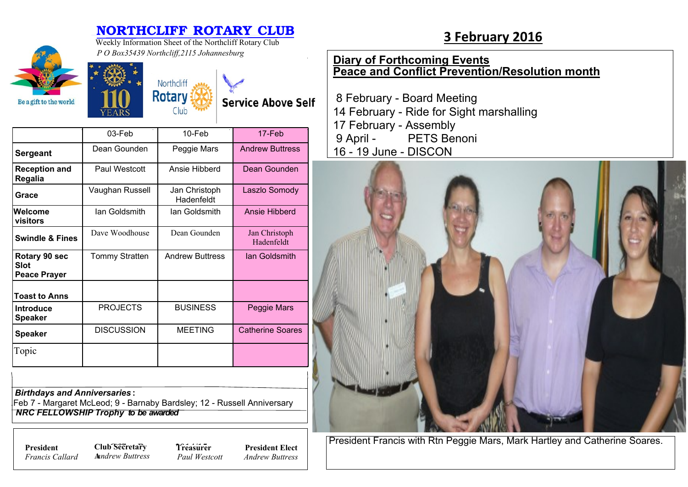## **NORTHCLIFF ROTARY CLUB**<br>Weekly Information Sheet of the Northcliff Rotary Club<br>**3 February 2016** Weekly Information Sheet of the Northcliff Rotary Club





**Service Above Self** 

|                                              | 03-Feb                | $10$ -Feb                   | 17-Feb                      |
|----------------------------------------------|-----------------------|-----------------------------|-----------------------------|
| <b>Sergeant</b>                              | Dean Gounden          | Peggie Mars                 | <b>Andrew Buttress</b>      |
| <b>Reception and</b><br>Regalia              | Paul Westcott         | Ansie Hibberd               | Dean Gounden                |
| Grace                                        | Vaughan Russell       | Jan Christoph<br>Hadenfeldt | Laszlo Somody               |
| lWelcome<br>visitors                         | lan Goldsmith         | lan Goldsmith               | Ansie Hibberd               |
| <b>Swindle &amp; Fines</b>                   | Dave Woodhouse        | Dean Gounden                | Jan Christoph<br>Hadenfeldt |
| Rotary 90 sec<br>Slot<br><b>Peace Prayer</b> | <b>Tommy Stratten</b> | <b>Andrew Buttress</b>      | lan Goldsmith               |
| <b>Toast to Anns</b>                         |                       |                             |                             |
| <b>Introduce</b><br><b>Speaker</b>           | <b>PROJECTS</b>       | <b>BUSINESS</b>             | Peggie Mars                 |
| <b>Speaker</b>                               | <b>DISCUSSION</b>     | <b>MEETING</b>              | <b>Catherine Soares</b>     |
| Topic                                        |                       |                             |                             |

*Birthdays and Anniversaries* **:**

.Feb 7 - Margaret McLeod; 9 - Barnaby Bardsley; 12 - Russell Anniversary  *NRC FELLOWSHIP Trophy to be awarded*

*Francis Callard*

**President Club Secretary 7** *Treasure* **A***nndrew Buttress*

**Treasurer** *Paul Westcott*

**President Elect** *Andrew Buttress*

## **Diary of Forthcoming Events Peace and Conflict Prevention/Resolution month**

 8 February - Board Meeting 14 February - Ride for Sight marshalling 17 February - Assembly 9 April - PETS Benoni 16 - 19 June - DISCON



President Francis with Rtn Peggie Mars, Mark Hartley and Catherine Soares.